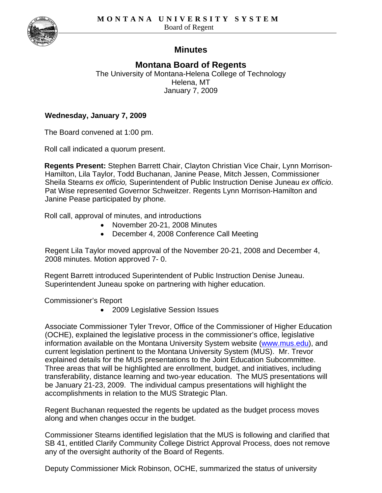

# **Minutes**

**Montana Board of Regents**  The University of Montana-Helena College of Technology Helena, MT January 7, 2009

### **Wednesday, January 7, 2009**

The Board convened at 1:00 pm.

Roll call indicated a quorum present.

**Regents Present:** Stephen Barrett Chair, Clayton Christian Vice Chair, Lynn Morrison-Hamilton, Lila Taylor, Todd Buchanan, Janine Pease, Mitch Jessen, Commissioner Sheila Stearns *ex officio,* Superintendent of Public Instruction Denise Juneau *ex officio*. Pat Wise represented Governor Schweitzer. Regents Lynn Morrison-Hamilton and Janine Pease participated by phone.

Roll call, approval of minutes, and introductions

- November 20-21, 2008 Minutes
- December 4, 2008 Conference Call Meeting

Regent Lila Taylor moved approval of the November 20-21, 2008 and December 4, 2008 minutes. Motion approved 7- 0.

Regent Barrett introduced Superintendent of Public Instruction Denise Juneau. Superintendent Juneau spoke on partnering with higher education.

Commissioner's Report

• 2009 Legislative Session Issues

Associate Commissioner Tyler Trevor, Office of the Commissioner of Higher Education (OCHE), explained the legislative process in the commissioner's office, legislative information available on the Montana University System website [\(www.mus.edu\)](http://www.mus.edu/), and current legislation pertinent to the Montana University System (MUS). Mr. Trevor explained details for the MUS presentations to the Joint Education Subcommittee. Three areas that will be highlighted are enrollment, budget, and initiatives, including transferability, distance learning and two-year education. The MUS presentations will be January 21-23, 2009. The individual campus presentations will highlight the accomplishments in relation to the MUS Strategic Plan.

Regent Buchanan requested the regents be updated as the budget process moves along and when changes occur in the budget.

Commissioner Stearns identified legislation that the MUS is following and clarified that SB 41, entitled Clarify Community College District Approval Process, does not remove any of the oversight authority of the Board of Regents.

Deputy Commissioner Mick Robinson, OCHE, summarized the status of university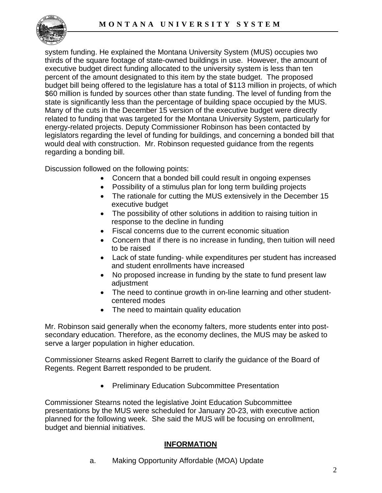

system funding. He explained the Montana University System (MUS) occupies two thirds of the square footage of state-owned buildings in use. However, the amount of executive budget direct funding allocated to the university system is less than ten percent of the amount designated to this item by the state budget. The proposed budget bill being offered to the legislature has a total of \$113 million in projects, of which \$60 million is funded by sources other than state funding. The level of funding from the state is significantly less than the percentage of building space occupied by the MUS. Many of the cuts in the December 15 version of the executive budget were directly related to funding that was targeted for the Montana University System, particularly for energy-related projects. Deputy Commissioner Robinson has been contacted by legislators regarding the level of funding for buildings, and concerning a bonded bill that would deal with construction. Mr. Robinson requested guidance from the regents regarding a bonding bill.

Discussion followed on the following points:

- Concern that a bonded bill could result in ongoing expenses
- Possibility of a stimulus plan for long term building projects
- The rationale for cutting the MUS extensively in the December 15 executive budget
- The possibility of other solutions in addition to raising tuition in response to the decline in funding
- Fiscal concerns due to the current economic situation
- Concern that if there is no increase in funding, then tuition will need to be raised
- Lack of state funding- while expenditures per student has increased and student enrollments have increased
- No proposed increase in funding by the state to fund present law adjustment
- The need to continue growth in on-line learning and other studentcentered modes
- The need to maintain quality education

Mr. Robinson said generally when the economy falters, more students enter into postsecondary education. Therefore, as the economy declines, the MUS may be asked to serve a larger population in higher education.

Commissioner Stearns asked Regent Barrett to clarify the guidance of the Board of Regents. Regent Barrett responded to be prudent.

• Preliminary Education Subcommittee Presentation

Commissioner Stearns noted the legislative Joint Education Subcommittee presentations by the MUS were scheduled for January 20-23, with executive action planned for the following week. She said the MUS will be focusing on enrollment, budget and biennial initiatives.

## **INFORMATION**

a. Making Opportunity Affordable (MOA) Update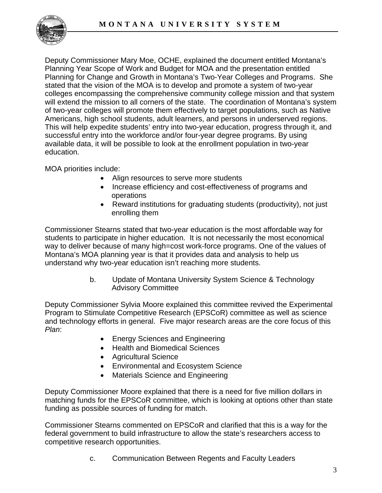

Deputy Commissioner Mary Moe, OCHE, explained the document entitled Montana's Planning Year Scope of Work and Budget for MOA and the presentation entitled Planning for Change and Growth in Montana's Two-Year Colleges and Programs. She stated that the vision of the MOA is to develop and promote a system of two-year colleges encompassing the comprehensive community college mission and that system will extend the mission to all corners of the state. The coordination of Montana's system of two-year colleges will promote them effectively to target populations, such as Native Americans, high school students, adult learners, and persons in underserved regions. This will help expedite students' entry into two-year education, progress through it, and successful entry into the workforce and/or four-year degree programs. By using available data, it will be possible to look at the enrollment population in two-year education.

MOA priorities include:

- Align resources to serve more students
- Increase efficiency and cost-effectiveness of programs and operations
- Reward institutions for graduating students (productivity), not just enrolling them

Commissioner Stearns stated that two-year education is the most affordable way for students to participate in higher education. It is not necessarily the most economical way to deliver because of many high=cost work-force programs. One of the values of Montana's MOA planning year is that it provides data and analysis to help us understand why two-year education isn't reaching more students.

> b. Update of Montana University System Science & Technology Advisory Committee

Deputy Commissioner Sylvia Moore explained this committee revived the Experimental Program to Stimulate Competitive Research (EPSCoR) committee as well as science and technology efforts in general. Five major research areas are the core focus of this *Plan*:

- Energy Sciences and Engineering
- Health and Biomedical Sciences
- Agricultural Science
- Environmental and Ecosystem Science
- Materials Science and Engineering

Deputy Commissioner Moore explained that there is a need for five million dollars in matching funds for the EPSCoR committee, which is looking at options other than state funding as possible sources of funding for match.

Commissioner Stearns commented on EPSCoR and clarified that this is a way for the federal government to build infrastructure to allow the state's researchers access to competitive research opportunities.

c. Communication Between Regents and Faculty Leaders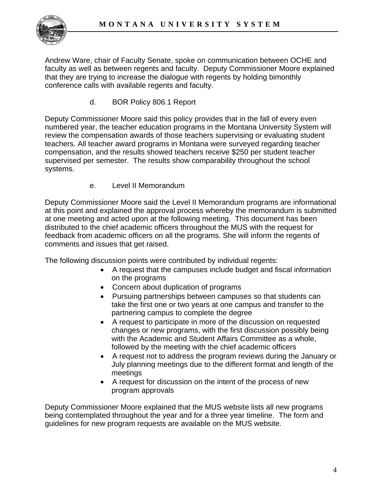

Andrew Ware, chair of Faculty Senate, spoke on communication between OCHE and faculty as well as between regents and faculty. Deputy Commissioner Moore explained that they are trying to increase the dialogue with regents by holding bimonthly conference calls with available regents and faculty.

d. BOR Policy 806.1 Report

Deputy Commissioner Moore said this policy provides that in the fall of every even numbered year, the teacher education programs in the Montana University System will review the compensation awards of those teachers supervising or evaluating student teachers. All teacher award programs in Montana were surveyed regarding teacher compensation, and the results showed teachers receive \$250 per student teacher supervised per semester. The results show comparability throughout the school systems.

e. Level II Memorandum

Deputy Commissioner Moore said the Level II Memorandum programs are informational at this point and explained the approval process whereby the memorandum is submitted at one meeting and acted upon at the following meeting. This document has been distributed to the chief academic officers throughout the MUS with the request for feedback from academic officers on all the programs. She will inform the regents of comments and issues that get raised.

The following discussion points were contributed by individual regents:

- A request that the campuses include budget and fiscal information on the programs
- Concern about duplication of programs
- Pursuing partnerships between campuses so that students can take the first one or two years at one campus and transfer to the partnering campus to complete the degree
- A request to participate in more of the discussion on requested changes or new programs, with the first discussion possibly being with the Academic and Student Affairs Committee as a whole, followed by the meeting with the chief academic officers
- A request not to address the program reviews during the January or July planning meetings due to the different format and length of the meetings
- A request for discussion on the intent of the process of new program approvals

Deputy Commissioner Moore explained that the MUS website lists all new programs being contemplated throughout the year and for a three year timeline. The form and guidelines for new program requests are available on the MUS website.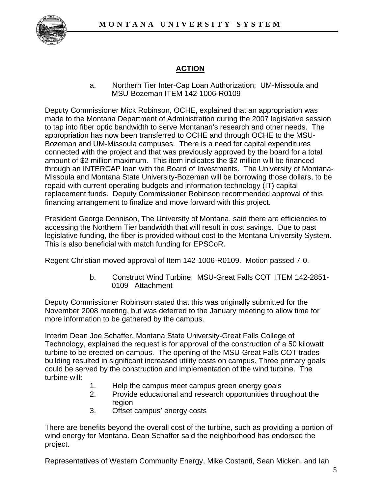

# **ACTION**

a. Northern Tier Inter-Cap Loan Authorization; UM-Missoula and MSU-Bozeman ITEM 142-1006-R0109

Deputy Commissioner Mick Robinson, OCHE, explained that an appropriation was made to the Montana Department of Administration during the 2007 legislative session to tap into fiber optic bandwidth to serve Montanan's research and other needs. The appropriation has now been transferred to OCHE and through OCHE to the MSU-Bozeman and UM-Missoula campuses. There is a need for capital expenditures connected with the project and that was previously approved by the board for a total amount of \$2 million maximum. This item indicates the \$2 million will be financed through an INTERCAP loan with the Board of Investments. The University of Montana-Missoula and Montana State University-Bozeman will be borrowing those dollars, to be repaid with current operating budgets and information technology (IT) capital replacement funds. Deputy Commissioner Robinson recommended approval of this financing arrangement to finalize and move forward with this project.

President George Dennison, The University of Montana, said there are efficiencies to accessing the Northern Tier bandwidth that will result in cost savings. Due to past legislative funding, the fiber is provided without cost to the Montana University System. This is also beneficial with match funding for EPSCoR.

Regent Christian moved approval of Item 142-1006-R0109. Motion passed 7-0.

b. Construct Wind Turbine; MSU-Great Falls COT ITEM 142-2851- 0109 Attachment

Deputy Commissioner Robinson stated that this was originally submitted for the November 2008 meeting, but was deferred to the January meeting to allow time for more information to be gathered by the campus.

Interim Dean Joe Schaffer, Montana State University-Great Falls College of Technology, explained the request is for approval of the construction of a 50 kilowatt turbine to be erected on campus. The opening of the MSU-Great Falls COT trades building resulted in significant increased utility costs on campus. Three primary goals could be served by the construction and implementation of the wind turbine. The turbine will:

- 1. Help the campus meet campus green energy goals
- 2. Provide educational and research opportunities throughout the region
- 3. Offset campus' energy costs

There are benefits beyond the overall cost of the turbine, such as providing a portion of wind energy for Montana. Dean Schaffer said the neighborhood has endorsed the project.

Representatives of Western Community Energy, Mike Costanti, Sean Micken, and Ian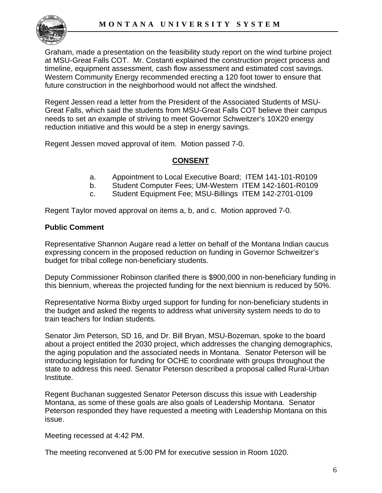

Graham, made a presentation on the feasibility study report on the wind turbine project at MSU-Great Falls COT. Mr. Costanti explained the construction project process and timeline, equipment assessment, cash flow assessment and estimated cost savings. Western Community Energy recommended erecting a 120 foot tower to ensure that future construction in the neighborhood would not affect the windshed.

Regent Jessen read a letter from the President of the Associated Students of MSU-Great Falls, which said the students from MSU-Great Falls COT believe their campus needs to set an example of striving to meet Governor Schweitzer's 10X20 energy reduction initiative and this would be a step in energy savings.

Regent Jessen moved approval of item. Motion passed 7-0.

### **CONSENT**

- a. Appointment to Local Executive Board; ITEM 141-101-R0109
- b. Student Computer Fees; UM-Western ITEM 142-1601-R0109
- c. Student Equipment Fee; MSU-Billings ITEM 142-2701-0109

Regent Taylor moved approval on items a, b, and c. Motion approved 7-0.

#### **Public Comment**

Representative Shannon Augare read a letter on behalf of the Montana Indian caucus expressing concern in the proposed reduction on funding in Governor Schweitzer's budget for tribal college non-beneficiary students.

Deputy Commissioner Robinson clarified there is \$900,000 in non-beneficiary funding in this biennium, whereas the projected funding for the next biennium is reduced by 50%.

Representative Norma Bixby urged support for funding for non-beneficiary students in the budget and asked the regents to address what university system needs to do to train teachers for Indian students.

Senator Jim Peterson, SD 16, and Dr. Bill Bryan, MSU-Bozeman, spoke to the board about a project entitled the 2030 project, which addresses the changing demographics, the aging population and the associated needs in Montana. Senator Peterson will be introducing legislation for funding for OCHE to coordinate with groups throughout the state to address this need. Senator Peterson described a proposal called Rural-Urban Institute.

Regent Buchanan suggested Senator Peterson discuss this issue with Leadership Montana, as some of these goals are also goals of Leadership Montana. Senator Peterson responded they have requested a meeting with Leadership Montana on this issue.

Meeting recessed at 4:42 PM.

The meeting reconvened at 5:00 PM for executive session in Room 1020.